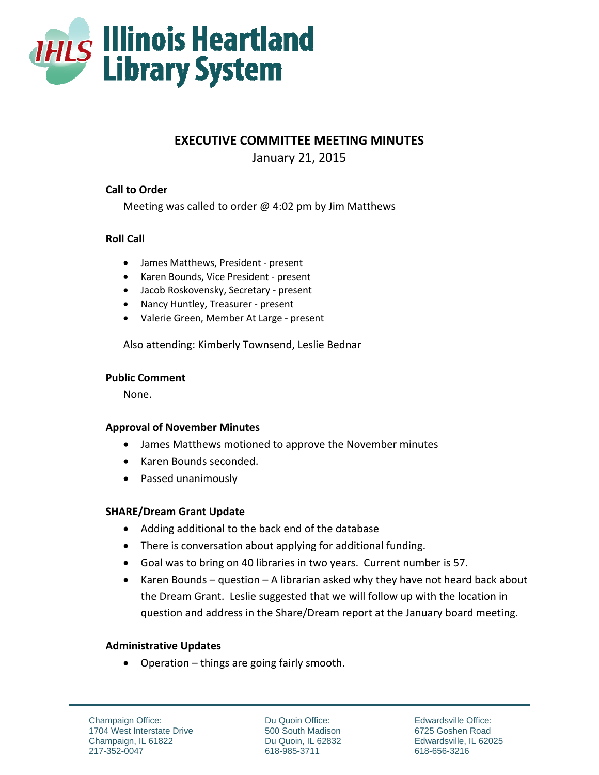

**EXECUTIVE COMMITTEE MEETING MINUTES** 

January 21, 2015

# **Call to Order**

Meeting was called to order  $\omega$  4:02 pm by Jim Matthews

# **Roll Call**

- James Matthews, President present
- Karen Bounds, Vice President present
- Jacob Roskovensky, Secretary ‐ present
- Nancy Huntley, Treasurer ‐ present
- Valerie Green, Member At Large ‐ present

Also attending: Kimberly Townsend, Leslie Bednar

### **Public Comment**

None.

# **Approval of November Minutes**

- James Matthews motioned to approve the November minutes
- Karen Bounds seconded.
- Passed unanimously

# **SHARE/Dream Grant Update**

- Adding additional to the back end of the database
- There is conversation about applying for additional funding.
- Goal was to bring on 40 libraries in two years. Current number is 57.
- Karen Bounds question A librarian asked why they have not heard back about the Dream Grant. Leslie suggested that we will follow up with the location in question and address in the Share/Dream report at the January board meeting.

# **Administrative Updates**

Operation – things are going fairly smooth.

Champaign Office: 1704 West Interstate Drive Champaign, IL 61822 217-352-0047

Du Quoin Office: 500 South Madison Du Quoin, IL 62832 618-985-3711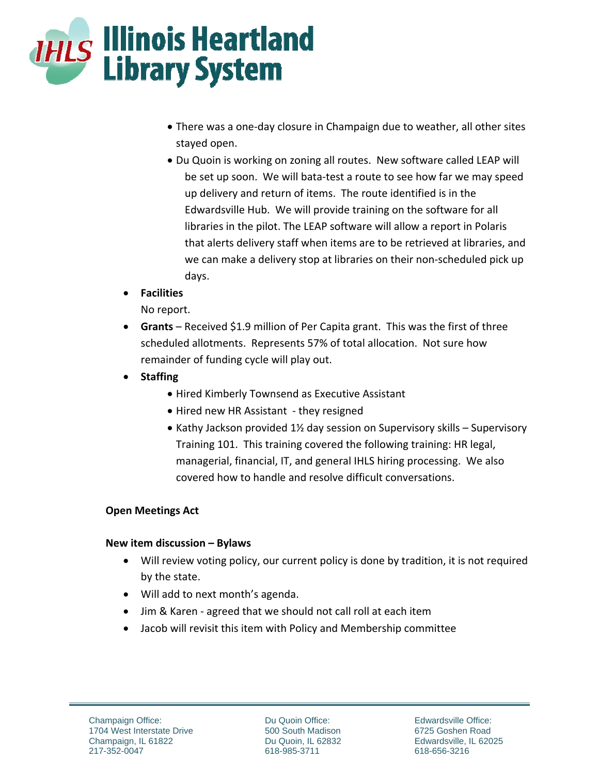

- There was a one-day closure in Champaign due to weather, all other sites stayed open.
- Du Quoin is working on zoning all routes. New software called LEAP will be set up soon. We will bata-test a route to see how far we may speed up delivery and return of items. The route identified is in the Edwardsville Hub. We will provide training on the software for all libraries in the pilot. The LEAP software will allow a report in Polaris that alerts delivery staff when items are to be retrieved at libraries, and we can make a delivery stop at libraries on their non-scheduled pick up days.
- **Facilities**

No report.

- **Grants** Received \$1.9 million of Per Capita grant. This was the first of three scheduled allotments. Represents 57% of total allocation. Not sure how remainder of funding cycle will play out.
- **Staffing** 
	- Hired Kimberly Townsend as Executive Assistant
	- Hired new HR Assistant they resigned
	- Kathy Jackson provided  $1\frac{1}{2}$  day session on Supervisory skills Supervisory Training 101. This training covered the following training: HR legal, managerial, financial, IT, and general IHLS hiring processing. We also covered how to handle and resolve difficult conversations.

# **Open Meetings Act**

# **New item discussion – Bylaws**

- Will review voting policy, our current policy is done by tradition, it is not required by the state.
- Will add to next month's agenda.
- Jim & Karen agreed that we should not call roll at each item
- Jacob will revisit this item with Policy and Membership committee

Du Quoin Office: 500 South Madison Du Quoin, IL 62832 618-985-3711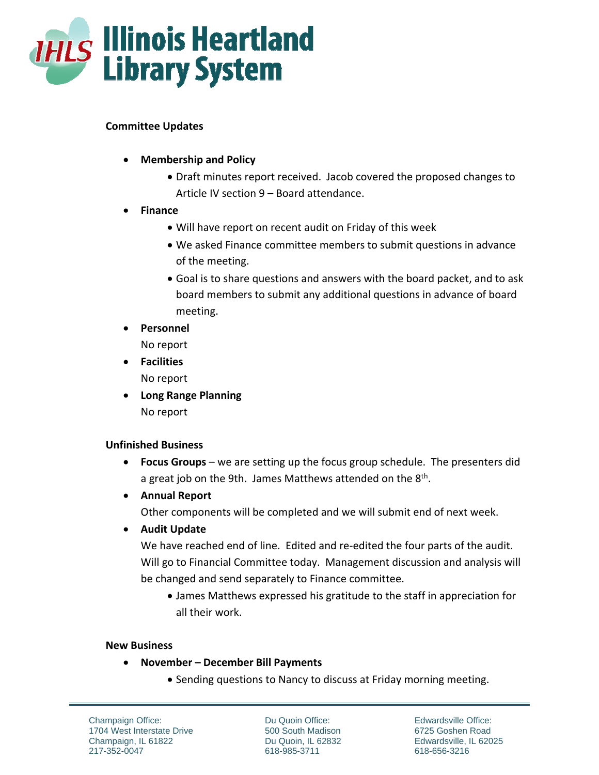

## **Committee Updates**

- **Membership and Policy**
	- Draft minutes report received. Jacob covered the proposed changes to Article IV section 9 – Board attendance.
- **Finance** 
	- Will have report on recent audit on Friday of this week
	- We asked Finance committee members to submit questions in advance of the meeting.
	- Goal is to share questions and answers with the board packet, and to ask board members to submit any additional questions in advance of board meeting.
- **Personnel**  No report
- **Facilities**

No report

 **Long Range Planning**  No report

# **Unfinished Business**

- **Focus Groups** we are setting up the focus group schedule. The presenters did a great job on the 9th. James Matthews attended on the  $8<sup>th</sup>$ .
- **Annual Report**

Other components will be completed and we will submit end of next week.

**Audit Update** 

We have reached end of line. Edited and re-edited the four parts of the audit. Will go to Financial Committee today. Management discussion and analysis will be changed and send separately to Finance committee.

 James Matthews expressed his gratitude to the staff in appreciation for all their work.

# **New Business**

- **November – December Bill Payments** 
	- Sending questions to Nancy to discuss at Friday morning meeting.

Champaign Office: 1704 West Interstate Drive Champaign, IL 61822 217-352-0047

Du Quoin Office: 500 South Madison Du Quoin, IL 62832 618-985-3711